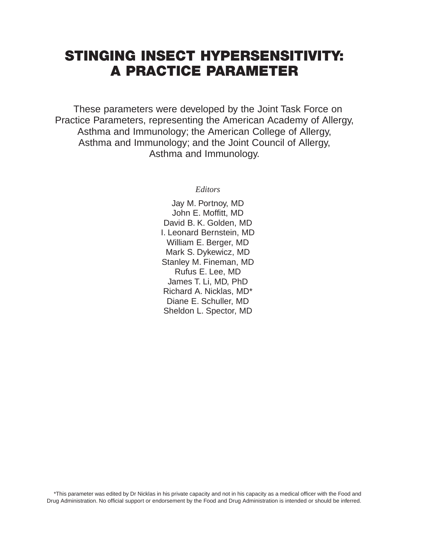# **STINGING INSECT HYPERSENSITIVITY: A PRACTICE PARAMETER**

These parameters were developed by the Joint Task Force on Practice Parameters, representing the American Academy of Allergy, Asthma and Immunology; the American College of Allergy, Asthma and Immunology; and the Joint Council of Allergy, Asthma and Immunology.

*Editors*

Jay M. Portnoy, MD John E. Moffitt, MD David B. K. Golden, MD I. Leonard Bernstein, MD William E. Berger, MD Mark S. Dykewicz, MD Stanley M. Fineman, MD Rufus E. Lee, MD James T. Li, MD, PhD Richard A. Nicklas, MD\* Diane E. Schuller, MD Sheldon L. Spector, MD

\*This parameter was edited by Dr Nicklas in his private capacity and not in his capacity as a medical officer with the Food and Drug Administration. No official support or endorsement by the Food and Drug Administration is intended or should be inferred.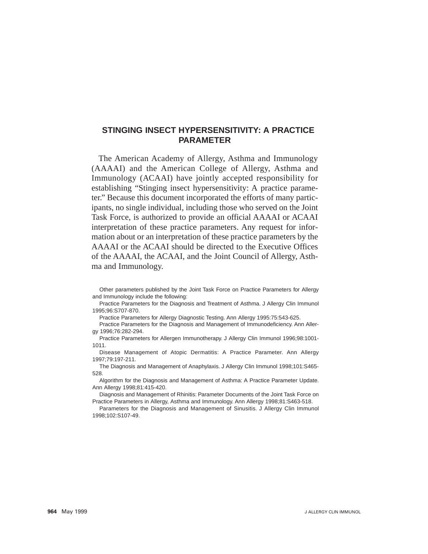# **STINGING INSECT HYPERSENSITIVITY: A PRACTICE PARAMETER**

The American Academy of Allergy, Asthma and Immunology (AAAAI) and the American College of Allergy, Asthma and Immunology (ACAAI) have jointly accepted responsibility for establishing "Stinging insect hypersensitivity: A practice parameter." Because this document incorporated the efforts of many participants, no single individual, including those who served on the Joint Task Force, is authorized to provide an official AAAAI or ACAAI interpretation of these practice parameters. Any request for information about or an interpretation of these practice parameters by the AAAAI or the ACAAI should be directed to the Executive Offices of the AAAAI, the ACAAI, and the Joint Council of Allergy, Asthma and Immunology.

Other parameters published by the Joint Task Force on Practice Parameters for Allergy and Immunology include the following:

Practice Parameters for the Diagnosis and Treatment of Asthma. J Allergy Clin Immunol 1995;96:S707-870.

Practice Parameters for Allergy Diagnostic Testing. Ann Allergy 1995:75:543-625.

Practice Parameters for the Diagnosis and Management of Immunodeficiency. Ann Allergy 1996;76:282-294.

Practice Parameters for Allergen Immunotherapy. J Allergy Clin Immunol 1996;98:1001- 1011.

Disease Management of Atopic Dermatitis: A Practice Parameter. Ann Allergy 1997;79:197-211.

The Diagnosis and Management of Anaphylaxis. J Allergy Clin Immunol 1998;101:S465- 528.

Algorithm for the Diagnosis and Management of Asthma: A Practice Parameter Update. Ann Allergy 1998;81:415-420.

Diagnosis and Management of Rhinitis: Parameter Documents of the Joint Task Force on Practice Parameters in Allergy, Asthma and Immunology. Ann Allergy 1998;81:S463-518.

Parameters for the Diagnosis and Management of Sinusitis. J Allergy Clin Immunol 1998;102:S107-49.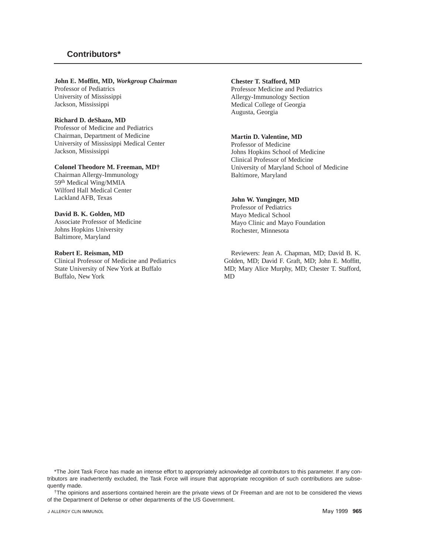# **Contributors\***

## **John E. Moffitt, MD,** *Workgroup Chairman*

Professor of Pediatrics University of Mississippi Jackson, Mississippi

# **Richard D. deShazo, MD**

Professor of Medicine and Pediatrics Chairman, Department of Medicine University of Mississippi Medical Center Jackson, Mississippi

#### **Colonel Theodore M. Freeman, MD†**

Chairman Allergy-Immunology 59th Medical Wing/MMIA Wilford Hall Medical Center Lackland AFB, Texas

# **David B. K. Golden, MD**

Associate Professor of Medicine Johns Hopkins University Baltimore, Maryland

# **Robert E. Reisman, MD**

Clinical Professor of Medicine and Pediatrics State University of New York at Buffalo Buffalo, New York

#### **Chester T. Stafford, MD**

Professor Medicine and Pediatrics Allergy-Immunology Section Medical College of Georgia Augusta, Georgia

## **Martin D. Valentine, MD**

Professor of Medicine Johns Hopkins School of Medicine Clinical Professor of Medicine University of Maryland School of Medicine Baltimore, Maryland

# **John W. Yunginger, MD**

Professor of Pediatrics Mayo Medical School Mayo Clinic and Mayo Foundation Rochester, Minnesota

Reviewers: Jean A. Chapman, MD; David B. K. Golden, MD; David F. Graft, MD; John E. Moffitt, MD; Mary Alice Murphy, MD; Chester T. Stafford, MD

\*The Joint Task Force has made an intense effort to appropriately acknowledge all contributors to this parameter. If any contributors are inadvertently excluded, the Task Force will insure that appropriate recognition of such contributions are subsequently made.

†The opinions and assertions contained herein are the private views of Dr Freeman and are not to be considered the views of the Department of Defense or other departments of the US Government.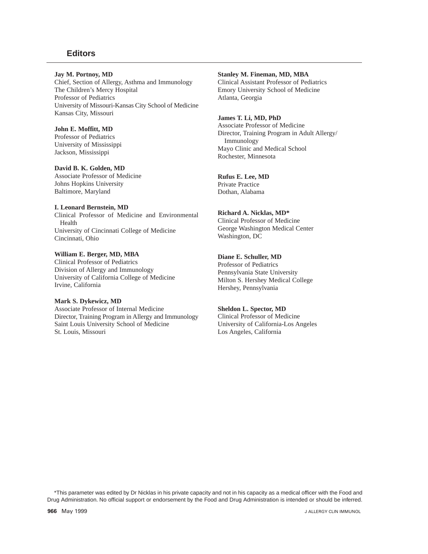# **Editors**

**Jay M. Portnoy, MD** Chief, Section of Allergy, Asthma and Immunology The Children's Mercy Hospital Professor of Pediatrics University of Missouri-Kansas City School of Medicine Kansas City, Missouri

**John E. Moffitt, MD** Professor of Pediatrics University of Mississippi Jackson, Mississippi

**David B. K. Golden, MD** Associate Professor of Medicine Johns Hopkins University Baltimore, Maryland

**I. Leonard Bernstein, MD** Clinical Professor of Medicine and Environmental Health University of Cincinnati College of Medicine Cincinnati, Ohio

**William E. Berger, MD, MBA** Clinical Professor of Pediatrics Division of Allergy and Immunology University of California College of Medicine Irvine, California

**Mark S. Dykewicz, MD** Associate Professor of Internal Medicine Director, Training Program in Allergy and Immunology Saint Louis University School of Medicine St. Louis, Missouri

**Stanley M. Fineman, MD, MBA**

Clinical Assistant Professor of Pediatrics Emory University School of Medicine Atlanta, Georgia

**James T. Li, MD, PhD** Associate Professor of Medicine Director, Training Program in Adult Allergy/ Immunology Mayo Clinic and Medical School Rochester, Minnesota

**Rufus E. Lee, MD** Private Practice Dothan, Alabama

**Richard A. Nicklas, MD\*** Clinical Professor of Medicine George Washington Medical Center Washington, DC

**Diane E. Schuller, MD** Professor of Pediatrics Pennsylvania State University Milton S. Hershey Medical College Hershey, Pennsylvania

**Sheldon L. Spector, MD** Clinical Professor of Medicine University of California-Los Angeles Los Angeles, California

\*This parameter was edited by Dr Nicklas in his private capacity and not in his capacity as a medical officer with the Food and Drug Administration. No official support or endorsement by the Food and Drug Administration is intended or should be inferred.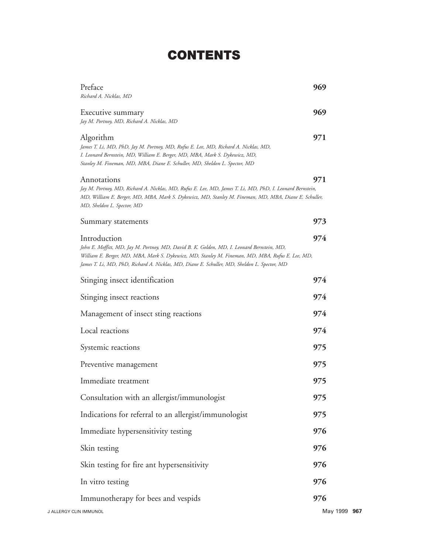# **CONTENTS**

| Preface<br>Richard A. Nicklas, MD |                                                                                                                                                                                                                                                                                               | 969          |
|-----------------------------------|-----------------------------------------------------------------------------------------------------------------------------------------------------------------------------------------------------------------------------------------------------------------------------------------------|--------------|
| Executive summary                 | Jay M. Portnoy, MD, Richard A. Nicklas, MD                                                                                                                                                                                                                                                    | 969          |
| Algorithm                         | James T. Li, MD, PhD, Jay M. Portnoy, MD, Rufus E. Lee, MD, Richard A. Nicklas, MD,<br>I. Leonard Bernstein, MD, William E. Berger, MD, MBA, Mark S. Dykewicz, MD,<br>Stanley M. Fineman, MD, MBA, Diane E. Schuller, MD, Sheldon L. Spector, MD                                              | 971          |
| Annotations                       |                                                                                                                                                                                                                                                                                               | 971          |
| MD, Sheldon L. Spector, MD        | Jay M. Portnoy, MD, Richard A. Nicklas, MD, Rufus E. Lee, MD, James T. Li, MD, PhD, I. Leonard Bernstein,<br>MD, William E. Berger, MD, MBA, Mark S. Dykewicz, MD, Stanley M. Fineman, MD, MBA, Diane E. Schuller,                                                                            |              |
| Summary statements                |                                                                                                                                                                                                                                                                                               | 973          |
| Introduction                      | John E. Moffitt, MD, Jay M. Portnoy, MD, David B. K. Golden, MD, I. Leonard Bernstein, MD,<br>William E. Berger, MD, MBA, Mark S. Dykewicz, MD, Stanley M. Fineman, MD, MBA, Rufus E. Lee, MD,<br>James T. Li, MD, PhD, Richard A. Nicklas, MD, Diane E. Schuller, MD, Sheldon L. Spector, MD | 974          |
|                                   | Stinging insect identification                                                                                                                                                                                                                                                                | 974          |
|                                   | Stinging insect reactions                                                                                                                                                                                                                                                                     | 974          |
|                                   | Management of insect sting reactions                                                                                                                                                                                                                                                          | 974          |
| Local reactions                   |                                                                                                                                                                                                                                                                                               | 974          |
| Systemic reactions                |                                                                                                                                                                                                                                                                                               | 975          |
|                                   | Preventive management                                                                                                                                                                                                                                                                         | 975          |
| Immediate treatment               |                                                                                                                                                                                                                                                                                               | 975          |
|                                   | Consultation with an allergist/immunologist                                                                                                                                                                                                                                                   | 975          |
|                                   | Indications for referral to an allergist/immunologist                                                                                                                                                                                                                                         | 975          |
|                                   | Immediate hypersensitivity testing                                                                                                                                                                                                                                                            | 976          |
| Skin testing                      |                                                                                                                                                                                                                                                                                               | 976          |
|                                   | Skin testing for fire ant hypersensitivity                                                                                                                                                                                                                                                    | 976          |
| In vitro testing                  |                                                                                                                                                                                                                                                                                               | 976          |
|                                   | Immunotherapy for bees and vespids                                                                                                                                                                                                                                                            | 976          |
| J ALLERGY CLIN IMMUNOL            |                                                                                                                                                                                                                                                                                               | May 1999 967 |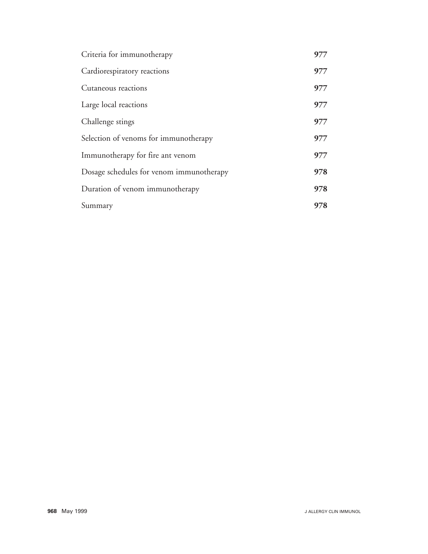| Criteria for immunotherapy               |     |
|------------------------------------------|-----|
| Cardiorespiratory reactions              | 977 |
| Cutaneous reactions                      | 977 |
| Large local reactions                    | 977 |
| Challenge stings                         | 977 |
| Selection of venoms for immunotherapy    | 977 |
| Immunotherapy for fire ant venom         | 977 |
| Dosage schedules for venom immunotherapy | 978 |
| Duration of venom immunotherapy          | 978 |
| Summary                                  | 978 |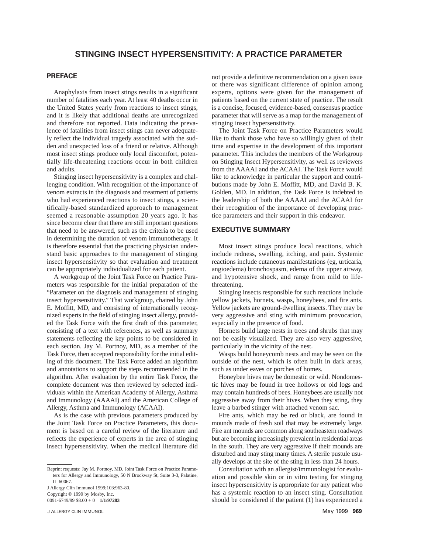# **STINGING INSECT HYPERSENSITIVITY: A PRACTICE PARAMETER**

#### **PREFACE**

Anaphylaxis from insect stings results in a significant number of fatalities each year. At least 40 deaths occur in the United States yearly from reactions to insect stings, and it is likely that additional deaths are unrecognized and therefore not reported. Data indicating the prevalence of fatalities from insect stings can never adequately reflect the individual tragedy associated with the sudden and unexpected loss of a friend or relative. Although most insect stings produce only local discomfort, potentially life-threatening reactions occur in both children and adults.

Stinging insect hypersensitivity is a complex and challenging condition. With recognition of the importance of venom extracts in the diagnosis and treatment of patients who had experienced reactions to insect stings, a scientifically-based standardized approach to management seemed a reasonable assumption 20 years ago. It has since become clear that there are still important questions that need to be answered, such as the criteria to be used in determining the duration of venom immunotherapy. It is therefore essential that the practicing physician understand basic approaches to the management of stinging insect hypersensitivity so that evaluation and treatment can be appropriately individualized for each patient.

A workgroup of the Joint Task Force on Practice Parameters was responsible for the initial preparation of the "Parameter on the diagnosis and management of stinging insect hypersensitivity." That workgroup, chaired by John E. Moffitt, MD, and consisting of internationally recognized experts in the field of stinging insect allergy, provided the Task Force with the first draft of this parameter, consisting of a text with references, as well as summary statements reflecting the key points to be considered in each section. Jay M. Portnoy, MD, as a member of the Task Force, then accepted responsibility for the initial editing of this document. The Task Force added an algorithm and annotations to support the steps recommended in the algorithm. After evaluation by the entire Task Force, the complete document was then reviewed by selected individuals within the American Academy of Allergy, Asthma and Immunology (AAAAI) and the American College of Allergy, Asthma and Immunology (ACAAI).

As is the case with previous parameters produced by the Joint Task Force on Practice Parameters, this document is based on a careful review of the literature and reflects the experience of experts in the area of stinging insect hypersensitivity. When the medical literature did

Reprint requests: Jay M. Portnoy, MD, Joint Task Force on Practice Parameters for Allergy and Immunology, 50 N Brockway St, Suite 3-3, Palatine, IL 60067.

J Allergy Clin Immunol 1999;103:963-80. Copyright © 1999 by Mosby, Inc.

0091-6749/99 \$8.00 + 0 **1/1/97283**

J ALLERGY CLIN IMMUNOL May 1999 **969**

not provide a definitive recommendation on a given issue or there was significant difference of opinion among experts, options were given for the management of patients based on the current state of practice. The result is a concise, focused, evidence-based, consensus practice parameter that will serve as a map for the management of stinging insect hypersensitivity.

The Joint Task Force on Practice Parameters would like to thank those who have so willingly given of their time and expertise in the development of this important parameter. This includes the members of the Workgroup on Stinging Insect Hypersensitivity, as well as reviewers from the AAAAI and the ACAAI. The Task Force would like to acknowledge in particular the support and contributions made by John E. Moffitt, MD, and David B. K. Golden, MD. In addition, the Task Force is indebted to the leadership of both the AAAAI and the ACAAI for their recognition of the importance of developing practice parameters and their support in this endeavor.

# **EXECUTIVE SUMMARY**

Most insect stings produce local reactions, which include redness, swelling, itching, and pain. Systemic reactions include cutaneous manifestations (eg, urticaria, angioedema) bronchospasm, edema of the upper airway, and hypotensive shock, and range from mild to lifethreatening.

Stinging insects responsible for such reactions include yellow jackets, hornets, wasps, honeybees, and fire ants. Yellow jackets are ground-dwelling insects. They may be very aggressive and sting with minimum provocation, especially in the presence of food.

Hornets build large nests in trees and shrubs that may not be easily visualized. They are also very aggressive, particularly in the vicinity of the nest.

Wasps build honeycomb nests and may be seen on the outside of the nest, which is often built in dark areas, such as under eaves or porches of homes.

Honeybee hives may be domestic or wild. Nondomestic hives may be found in tree hollows or old logs and may contain hundreds of bees. Honeybees are usually not aggressive away from their hives. When they sting, they leave a barbed stinger with attached venom sac.

Fire ants, which may be red or black, are found in mounds made of fresh soil that may be extremely large. Fire ant mounds are common along southeastern roadways but are becoming increasingly prevalent in residential areas in the south. They are very aggressive if their mounds are disturbed and may sting many times. A sterile pustule usually develops at the site of the sting in less than 24 hours.

Consultation with an allergist/immunologist for evaluation and possible skin or in vitro testing for stinging insect hypersensitivity is appropriate for any patient who has a systemic reaction to an insect sting. Consultation should be considered if the patient (1) has experienced a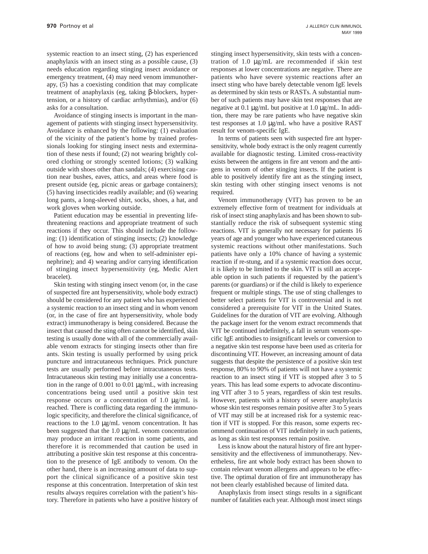systemic reaction to an insect sting, (2) has experienced anaphylaxis with an insect sting as a possible cause, (3) needs education regarding stinging insect avoidance or emergency treatment, (4) may need venom immunotherapy, (5) has a coexisting condition that may complicate treatment of anaphylaxis (eg, taking β-blockers, hypertension, or a history of cardiac arrhythmias), and/or (6) asks for a consultation.

Avoidance of stinging insects is important in the management of patients with stinging insect hypersensitivity. Avoidance is enhanced by the following: (1) evaluation of the vicinity of the patient's home by trained professionals looking for stinging insect nests and extermination of these nests if found; (2) not wearing brightly colored clothing or strongly scented lotions; (3) walking outside with shoes other than sandals; (4) exercising caution near bushes, eaves, attics, and areas where food is present outside (eg, picnic areas or garbage containers); (5) having insecticides readily available; and (6) wearing long pants, a long-sleeved shirt, socks, shoes, a hat, and work gloves when working outside.

Patient education may be essential in preventing lifethreatening reactions and appropriate treatment of such reactions if they occur. This should include the following: (1) identification of stinging insects; (2) knowledge of how to avoid being stung; (3) appropriate treatment of reactions (eg, how and when to self-administer epinephrine); and 4) wearing and/or carrying identification of stinging insect hypersensitivity (eg, Medic Alert bracelet).

Skin testing with stinging insect venom (or, in the case of suspected fire ant hypersensitivity, whole body extract) should be considered for any patient who has experienced a systemic reaction to an insect sting and in whom venom (or, in the case of fire ant hypersensitivity, whole body extract) immunotherapy is being considered. Because the insect that caused the sting often cannot be identified, skin testing is usually done with all of the commercially available venom extracts for stinging insects other than fire ants. Skin testing is usually performed by using prick puncture and intracutaneous techniques. Prick puncture tests are usually performed before intracutaneous tests. Intracutaneous skin testing may initially use a concentration in the range of 0.001 to 0.01 µg/mL, with increasing concentrations being used until a positive skin test response occurs or a concentration of 1.0 µg/mL is reached. There is conflicting data regarding the immunologic specificity, and therefore the clinical significance, of reactions to the 1.0 µg/mL venom concentration. It has been suggested that the 1.0 µg/mL venom concentration may produce an irritant reaction in some patients, and therefore it is recommended that caution be used in attributing a positive skin test response at this concentration to the presence of IgE antibody to venom. On the other hand, there is an increasing amount of data to support the clinical significance of a positive skin test response at this concentration. Interpretation of skin test results always requires correlation with the patient's history. Therefore in patients who have a positive history of stinging insect hypersensitivity, skin tests with a concentration of 1.0 µg/mL are recommended if skin test responses at lower concentrations are negative. There are patients who have severe systemic reactions after an insect sting who have barely detectable venom IgE levels as determined by skin tests or RASTs. A substantial number of such patients may have skin test responses that are negative at 0.1 µg/mL but positive at 1.0 µg/mL. In addition, there may be rare patients who have negative skin test responses at 1.0 µg/mL who have a positive RAST result for venom-specific IgE.

In terms of patients seen with suspected fire ant hypersensitivity, whole body extract is the only reagent currently available for diagnostic testing. Limited cross-reactivity exists between the antigens in fire ant venom and the antigens in venom of other stinging insects. If the patient is able to positively identify fire ant as the stinging insect, skin testing with other stinging insect venoms is not required.

Venom immunotherapy (VIT) has proven to be an extremely effective form of treatment for individuals at risk of insect sting anaphylaxis and has been shown to substantially reduce the risk of subsequent systemic sting reactions. VIT is generally not necessary for patients 16 years of age and younger who have experienced cutaneous systemic reactions without other manifestations. Such patients have only a 10% chance of having a systemic reaction if re-stung, and if a systemic reaction does occur, it is likely to be limited to the skin. VIT is still an acceptable option in such patients if requested by the patient's parents (or guardians) or if the child is likely to experience frequent or multiple stings. The use of sting challenges to better select patients for VIT is controversial and is not considered a prerequisite for VIT in the United States. Guidelines for the duration of VIT are evolving. Although the package insert for the venom extract recommends that VIT be continued indefinitely, a fall in serum venom-specific IgE antibodies to insignificant levels or conversion to a negative skin test response have been used as criteria for discontinuing VIT. However, an increasing amount of data suggests that despite the persistence of a positive skin test response, 80% to 90% of patients will not have a systemic reaction to an insect sting if VIT is stopped after 3 to 5 years. This has lead some experts to advocate discontinuing VIT after 3 to 5 years, regardless of skin test results. However, patients with a history of severe anaphylaxis whose skin test responses remain positive after 3 to 5 years of VIT may still be at increased risk for a systemic reaction if VIT is stopped. For this reason, some experts recommend continuation of VIT indefinitely in such patients, as long as skin test responses remain positive.

Less is know about the natural history of fire ant hypersensitivity and the effectiveness of immunotherapy. Nevertheless, fire ant whole body extract has been shown to contain relevant venom allergens and appears to be effective. The optimal duration of fire ant immunotherapy has not been clearly established because of limited data.

Anaphylaxis from insect stings results in a significant number of fatalities each year. Although most insect stings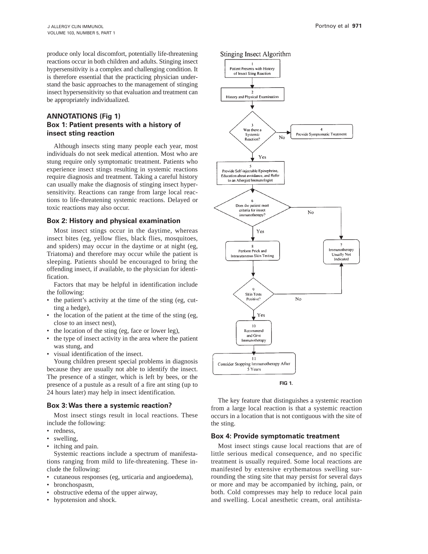produce only local discomfort, potentially life-threatening reactions occur in both children and adults. Stinging insect hypersensitivity is a complex and challenging condition. It is therefore essential that the practicing physician understand the basic approaches to the management of stinging insect hypersensitivity so that evaluation and treatment can be appropriately individualized.

# **ANNOTATIONS (Fig 1) Box 1: Patient presents with a history of insect sting reaction**

Although insects sting many people each year, most individuals do not seek medical attention. Most who are stung require only symptomatic treatment. Patients who experience insect stings resulting in systemic reactions require diagnosis and treatment. Taking a careful history can usually make the diagnosis of stinging insect hypersensitivity. Reactions can range from large local reactions to life-threatening systemic reactions. Delayed or toxic reactions may also occur.

# **Box 2: History and physical examination**

Most insect stings occur in the daytime, whereas insect bites (eg, yellow flies, black flies, mosquitoes, and spiders) may occur in the daytime or at night (eg, Triatoma) and therefore may occur while the patient is sleeping. Patients should be encouraged to bring the offending insect, if available, to the physician for identification.

Factors that may be helpful in identification include the following:

- the patient's activity at the time of the sting (eg, cutting a hedge),
- the location of the patient at the time of the sting (eg, close to an insect nest),
- the location of the sting (eg, face or lower leg),
- the type of insect activity in the area where the patient was stung, and
- visual identification of the insect.

Young children present special problems in diagnosis because they are usually not able to identify the insect. The presence of a stinger, which is left by bees, or the presence of a pustule as a result of a fire ant sting (up to 24 hours later) may help in insect identification.

#### **Box 3: Was there a systemic reaction?**

Most insect stings result in local reactions. These include the following:

- redness.
- swelling,
- itching and pain.

Systemic reactions include a spectrum of manifestations ranging from mild to life-threatening. These include the following:

- cutaneous responses (eg, urticaria and angioedema),
- bronchospasm,
- obstructive edema of the upper airway,
- hypotension and shock.





The key feature that distinguishes a systemic reaction from a large local reaction is that a systemic reaction occurs in a location that is not contiguous with the site of the sting.

#### **Box 4: Provide symptomatic treatment**

Most insect stings cause local reactions that are of little serious medical consequence, and no specific treatment is usually required. Some local reactions are manifested by extensive erythematous swelling surrounding the sting site that may persist for several days or more and may be accompanied by itching, pain, or both. Cold compresses may help to reduce local pain and swelling. Local anesthetic cream, oral antihista-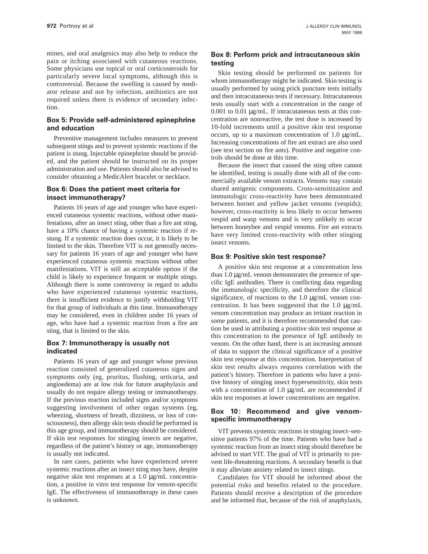mines, and oral analgesics may also help to reduce the pain or itching associated with cutaneous reactions. Some physicians use topical or oral corticosteroids for particularly severe local symptoms, although this is controversial. Because the swelling is caused by mediator release and not by infection, antibiotics are not required unless there is evidence of secondary infection.

# **Box 5: Provide self-administered epinephrine and education**

Preventive management includes measures to prevent subsequent stings and to prevent systemic reactions if the patient is stung. Injectable epinephrine should be provided, and the patient should be instructed on its proper administration and use. Patients should also be advised to consider obtaining a MedicAlert bracelet or necklace.

# **Box 6: Does the patient meet criteria for insect immunotherapy?**

Patients 16 years of age and younger who have experienced cutaneous systemic reactions, without other manifestations, after an insect sting, other than a fire ant sting, have a 10% chance of having a systemic reaction if restung. If a systemic reaction does occur, it is likely to be limited to the skin. Therefore VIT is not generally necessary for patients 16 years of age and younger who have experienced cutaneous systemic reactions without other manifestations. VIT is still an acceptable option if the child is likely to experience frequent or multiple stings. Although there is some controversy in regard to adults who have experienced cutaneous systemic reactions, there is insufficient evidence to justify withholding VIT for that group of individuals at this time. Immunotherapy may be considered, even in children under 16 years of age, who have had a systemic reaction from a fire ant sting, that is limited to the skin.

# **Box 7: Immunotherapy is usually not indicated**

Patients 16 years of age and younger whose previous reaction consisted of generalized cutaneous signs and symptoms only (eg, pruritus, flushing, urticaria, and angioedema) are at low risk for future anaphylaxis and usually do not require allergy testing or immunotherapy. If the previous reaction included signs and/or symptoms suggesting involvement of other organ systems (eg, wheezing, shortness of breath, dizziness, or loss of consciousness), then allergy skin tests should be performed in this age group, and immunotherapy should be considered. If skin test responses for stinging insects are negative, regardless of the patient's history or age, immunotherapy is usually not indicated.

In rare cases, patients who have experienced severe systemic reactions after an insect sting may have, despite negative skin test responses at a 1.0 µg/mL concentration, a positive in vitro test response for venom-specific IgE. The effectiveness of immunotherapy in these cases is unknown.

# **Box 8: Perform prick and intracutaneous skin testing**

Skin testing should be performed on patients for whom immunotherapy might be indicated. Skin testing is usually performed by using prick puncture tests initially and then intracutaneous tests if necessary. Intracutaneous tests usually start with a concentration in the range of 0.001 to 0.01 µg/mL. If intracutaneous tests at this concentration are nonreactive, the test dose is increased by 10-fold increments until a positive skin test response occurs, up to a maximum concentration of 1.0 µg/mL. Increasing concentrations of fire ant extract are also used (see text section on fire ants). Positive and negative controls should be done at this time.

Because the insect that caused the sting often cannot be identified, testing is usually done with all of the commercially available venom extracts. Venoms may contain shared antigenic components. Cross-sensitization and immunologic cross-reactivity have been demonstrated between hornet and yellow jacket venoms (vespids); however, cross-reactivity is less likely to occur between vespid and wasp venoms and is very unlikely to occur between honeybee and vespid venoms. Fire ant extracts have very limited cross-reactivity with other stinging insect venoms.

# **Box 9: Positive skin test response?**

A positive skin test response at a concentration less than 1.0 µg/mL venom demonstrates the presence of specific IgE antibodies. There is conflicting data regarding the immunologic specificity, and therefore the clinical significance, of reactions to the 1.0  $\mu$ g/mL venom concentration. It has been suggested that the  $1.0 \mu g/mL$ venom concentration may produce an irritant reaction in some patients, and it is therefore recommended that caution be used in attributing a positive skin test response at this concentration to the presence of IgE antibody to venom. On the other hand, there is an increasing amount of data to support the clinical significance of a positive skin test response at this concentration. Interpretation of skin test results always requires correlation with the patient's history. Therefore in patients who have a positive history of stinging insect hypersensitivity, skin tests with a concentration of 1.0  $\mu$ g/mL are recommended if skin test responses at lower concentrations are negative.

# **Box 10: Recommend and give venomspecific immunotherapy**

VIT prevents systemic reactions in stinging insect–sensitive patients 97% of the time. Patients who have had a systemic reaction from an insect sting should therefore be advised to start VIT. The goal of VIT is primarily to prevent life-threatening reactions. A secondary benefit is that it may alleviate anxiety related to insect stings.

Candidates for VIT should be informed about the potential risks and benefits related to the procedure. Patients should receive a description of the procedure and be informed that, because of the risk of anaphylaxis,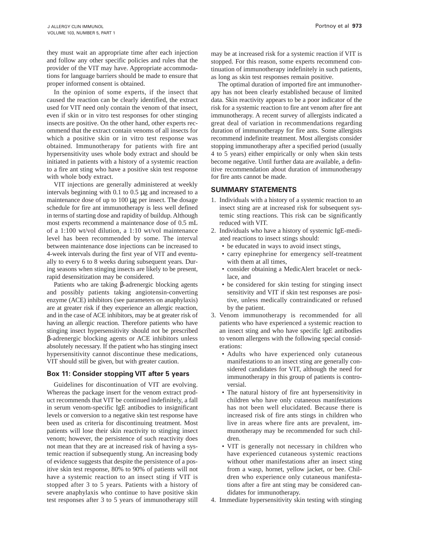they must wait an appropriate time after each injection and follow any other specific policies and rules that the provider of the VIT may have. Appropriate accommodations for language barriers should be made to ensure that proper informed consent is obtained.

In the opinion of some experts, if the insect that caused the reaction can be clearly identified, the extract used for VIT need only contain the venom of that insect, even if skin or in vitro test responses for other stinging insects are positive. On the other hand, other experts recommend that the extract contain venoms of all insects for which a positive skin or in vitro test response was obtained. Immunotherapy for patients with fire ant hypersensitivity uses whole body extract and should be initiated in patients with a history of a systemic reaction to a fire ant sting who have a positive skin test response with whole body extract.

VIT injections are generally administered at weekly intervals beginning with 0.1 to 0.5 µg and increased to a maintenance dose of up to 100 µg per insect. The dosage schedule for fire ant immunotherapy is less well defined in terms of starting dose and rapidity of buildup. Although most experts recommend a maintenance dose of 0.5 mL of a 1:100 wt/vol dilution, a 1:10 wt/vol maintenance level has been recommended by some. The interval between maintenance dose injections can be increased to 4-week intervals during the first year of VIT and eventually to every 6 to 8 weeks during subsequent years. During seasons when stinging insects are likely to be present, rapid desensitization may be considered.

Patients who are taking β-adrenergic blocking agents and possibly patients taking angiotensin-converting enzyme (ACE) inhibitors (see parameters on anaphylaxis) are at greater risk if they experience an allergic reaction, and in the case of ACE inhibitors, may be at greater risk of having an allergic reaction. Therefore patients who have stinging insect hypersensitivity should not be prescribed β-adrenergic blocking agents or ACE inhibitors unless absolutely necessary. If the patient who has stinging insect hypersensitivity cannot discontinue these medications, VIT should still be given, but with greater caution.

# **Box 11: Consider stopping VIT after 5 years**

Guidelines for discontinuation of VIT are evolving. Whereas the package insert for the venom extract product recommends that VIT be continued indefinitely, a fall in serum venom-specific IgE antibodies to insignificant levels or conversion to a negative skin test response have been used as criteria for discontinuing treatment. Most patients will lose their skin reactivity to stinging insect venom; however, the persistence of such reactivity does not mean that they are at increased risk of having a systemic reaction if subsequently stung. An increasing body of evidence suggests that despite the persistence of a positive skin test response, 80% to 90% of patients will not have a systemic reaction to an insect sting if VIT is stopped after 3 to 5 years. Patients with a history of severe anaphylaxis who continue to have positive skin test responses after 3 to 5 years of immunotherapy still

may be at increased risk for a systemic reaction if VIT is stopped. For this reason, some experts recommend continuation of immunotherapy indefinitely in such patients, as long as skin test responses remain positive.

The optimal duration of imported fire ant immunotherapy has not been clearly established because of limited data. Skin reactivity appears to be a poor indicator of the risk for a systemic reaction to fire ant venom after fire ant immunotherapy. A recent survey of allergists indicated a great deal of variation in recommendations regarding duration of immunotherapy for fire ants. Some allergists recommend indefinite treatment. Most allergists consider stopping immunotherapy after a specified period (usually 4 to 5 years) either empirically or only when skin tests become negative. Until further data are available, a definitive recommendation about duration of immunotherapy for fire ants cannot be made.

# **SUMMARY STATEMENTS**

- 1. Individuals with a history of a systemic reaction to an insect sting are at increased risk for subsequent systemic sting reactions. This risk can be significantly reduced with VIT.
- 2. Individuals who have a history of systemic IgE-mediated reactions to insect stings should:
	- be educated in ways to avoid insect stings,
	- carry epinephrine for emergency self-treatment with them at all times,
	- consider obtaining a MedicAlert bracelet or necklace, and
	- be considered for skin testing for stinging insect sensitivity and VIT if skin test responses are positive, unless medically contraindicated or refused by the patient.
- 3. Venom immunotherapy is recommended for all patients who have experienced a systemic reaction to an insect sting and who have specific IgE antibodies to venom allergens with the following special considerations:
	- Adults who have experienced only cutaneous manifestations to an insect sting are generally considered candidates for VIT, although the need for immunotherapy in this group of patients is controversial.
	- The natural history of fire ant hypersensitivity in children who have only cutaneous manifestations has not been well elucidated. Because there is increased risk of fire ants stings in children who live in areas where fire ants are prevalent, immunotherapy may be recommended for such children.
	- VIT is generally not necessary in children who have experienced cutaneous systemic reactions without other manifestations after an insect sting from a wasp, hornet, yellow jacket, or bee. Children who experience only cutaneous manifestations after a fire ant sting may be considered candidates for immunotherapy.
- 4. Immediate hypersensitivity skin testing with stinging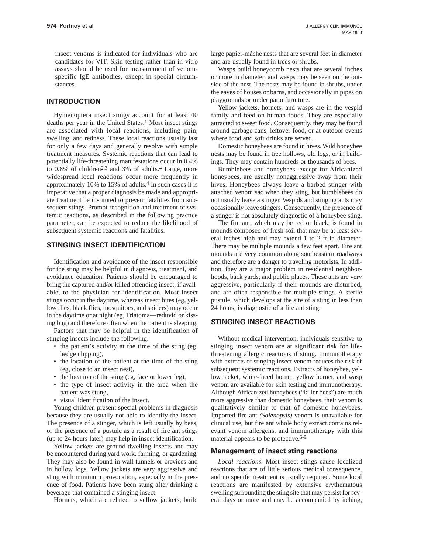insect venoms is indicated for individuals who are candidates for VIT. Skin testing rather than in vitro assays should be used for measurement of venomspecific IgE antibodies, except in special circumstances.

# **INTRODUCTION**

Hymenoptera insect stings account for at least 40 deaths per year in the United States.1 Most insect stings are associated with local reactions, including pain, swelling, and redness. These local reactions usually last for only a few days and generally resolve with simple treatment measures. Systemic reactions that can lead to potentially life-threatening manifestations occur in 0.4% to 0.8% of children<sup>2,3</sup> and 3% of adults.<sup>4</sup> Large, more widespread local reactions occur more frequently in approximately 10% to 15% of adults.<sup>4</sup> In such cases it is imperative that a proper diagnosis be made and appropriate treatment be instituted to prevent fatalities from subsequent stings. Prompt recognition and treatment of systemic reactions, as described in the following practice parameter, can be expected to reduce the likelihood of subsequent systemic reactions and fatalities.

## **STINGING INSECT IDENTIFICATION**

Identification and avoidance of the insect responsible for the sting may be helpful in diagnosis, treatment, and avoidance education. Patients should be encouraged to bring the captured and/or killed offending insect, if available, to the physician for identification. Most insect stings occur in the daytime, whereas insect bites (eg, yellow flies, black flies, mosquitoes, and spiders) may occur in the daytime or at night (eg, Triatoma—reduvid or kissing bug) and therefore often when the patient is sleeping.

Factors that may be helpful in the identification of stinging insects include the following:

- the patient's activity at the time of the sting (eg, hedge clipping),
- the location of the patient at the time of the sting (eg, close to an insect nest),
- the location of the sting (eg, face or lower leg),
- the type of insect activity in the area when the patient was stung,
- visual identification of the insect.

Young children present special problems in diagnosis because they are usually not able to identify the insect. The presence of a stinger, which is left usually by bees, or the presence of a pustule as a result of fire ant stings (up to 24 hours later) may help in insect identification.

Yellow jackets are ground-dwelling insects and may be encountered during yard work, farming, or gardening. They may also be found in wall tunnels or crevices and in hollow logs. Yellow jackets are very aggressive and sting with minimum provocation, especially in the presence of food. Patients have been stung after drinking a beverage that contained a stinging insect.

Hornets, which are related to yellow jackets, build

large papier-mâche nests that are several feet in diameter and are usually found in trees or shrubs.

Wasps build honeycomb nests that are several inches or more in diameter, and wasps may be seen on the outside of the nest. The nests may be found in shrubs, under the eaves of houses or barns, and occasionally in pipes on playgrounds or under patio furniture.

Yellow jackets, hornets, and wasps are in the vespid family and feed on human foods. They are especially attracted to sweet food. Consequently, they may be found around garbage cans, leftover food, or at outdoor events where food and soft drinks are served.

Domestic honeybees are found in hives. Wild honeybee nests may be found in tree hollows, old logs, or in buildings. They may contain hundreds or thousands of bees.

Bumblebees and honeybees, except for Africanized honeybees, are usually nonaggressive away from their hives. Honeybees always leave a barbed stinger with attached venom sac when they sting, but bumblebees do not usually leave a stinger. Vespids and stinging ants may occasionally leave stingers. Consequently, the presence of a stinger is not absolutely diagnostic of a honeybee sting.

The fire ant, which may be red or black, is found in mounds composed of fresh soil that may be at least several inches high and may extend 1 to 2 ft in diameter. There may be multiple mounds a few feet apart. Fire ant mounds are very common along southeastern roadways and therefore are a danger to traveling motorists. In addition, they are a major problem in residential neighborhoods, back yards, and public places. These ants are very aggressive, particularly if their mounds are disturbed, and are often responsible for multiple stings. A sterile pustule, which develops at the site of a sting in less than 24 hours, is diagnostic of a fire ant sting.

# **STINGING INSECT REACTIONS**

Without medical intervention, individuals sensitive to stinging insect venom are at significant risk for lifethreatening allergic reactions if stung. Immunotherapy with extracts of stinging insect venom reduces the risk of subsequent systemic reactions. Extracts of honeybee, yellow jacket, white-faced hornet, yellow hornet, and wasp venom are available for skin testing and immunotherapy. Although Africanized honeybees ("killer bees") are much more aggressive than domestic honeybees, their venom is qualitatively similar to that of domestic honeybees. Imported fire ant *(Solenopsis)* venom is unavailable for clinical use, but fire ant whole body extract contains relevant venom allergens, and immunotherapy with this material appears to be protective.5-9

#### **Management of insect sting reactions**

*Local reactions.* Most insect stings cause localized reactions that are of little serious medical consequence, and no specific treatment is usually required. Some local reactions are manifested by extensive erythematous swelling surrounding the sting site that may persist for several days or more and may be accompanied by itching,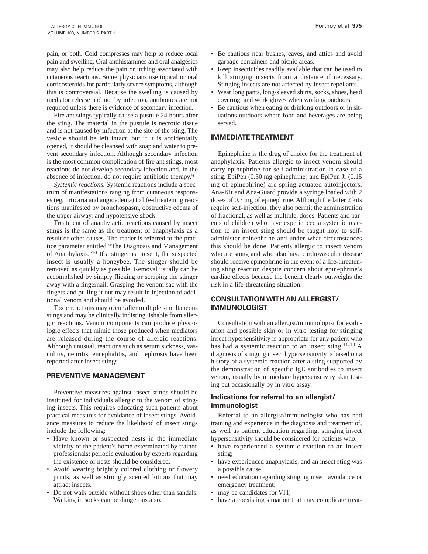pain, or both. Cold compresses may help to reduce local pain and swelling. Oral antihistamines and oral analgesics may also help reduce the pain or itching associated with cutaneous reactions. Some physicians use topical or oral corticosteroids for particularly severe symptoms, although this is controversial. Because the swelling is caused by mediator release and not by infection, antibiotics are not required unless there is evidence of secondary infection.

Fire ant stings typically cause a pustule 24 hours after the sting. The material in the pustule is necrotic tissue and is not caused by infection at the site of the sting. The vesicle should be left intact, but if it is accidentally opened, it should be cleansed with soap and water to prevent secondary infection. Although secondary infection is the most common complication of fire ant stings, most reactions do not develop secondary infection and, in the absence of infection, do not require antibiotic therapy.9

*Systemic reactions.* Systemic reactions include a spectrum of manifestations ranging from cutaneous responses (eg, urticaria and angioedema) to life-threatening reactions manifested by bronchospasm, obstructive edema of the upper airway, and hypotensive shock.

Treatment of anaphylactic reactions caused by insect stings is the same as the treatment of anaphylaxis as a result of other causes. The reader is referred to the practice parameter entitled "The Diagnosis and Management of Anaphylaxis."10 If a stinger is present, the suspected insect is usually a honeybee. The stinger should be removed as quickly as possible. Removal usually can be accomplished by simply flicking or scraping the stinger away with a fingernail. Grasping the venom sac with the fingers and pulling it out may result in injection of additional venom and should be avoided.

Toxic reactions may occur after multiple simultaneous stings and may be clinically indistinguishable from allergic reactions. Venom components can produce physiologic effects that mimic those produced when mediators are released during the course of allergic reactions. Although unusual, reactions such as serum sickness, vasculitis, neuritis, encephalitis, and nephrosis have been reported after insect stings.

### **PREVENTIVE MANAGEMENT**

Preventive measures against insect stings should be instituted for individuals allergic to the venom of stinging insects. This requires educating such patients about practical measures for avoidance of insect stings. Avoidance measures to reduce the likelihood of insect stings include the following:

- Have known or suspected nests in the immediate vicinity of the patient's home exterminated by trained professionals; periodic evaluation by experts regarding the existence of nests should be considered.
- Avoid wearing brightly colored clothing or flowery prints, as well as strongly scented lotions that may attract insects.
- Do not walk outside without shoes other than sandals. Walking in socks can be dangerous also.
- Be cautious near bushes, eaves, and attics and avoid garbage containers and picnic areas.
- Keep insecticides readily available that can be used to kill stinging insects from a distance if necessary. Stinging insects are not affected by insect repellants.
- Wear long pants, long-sleeved shirts, socks, shoes, head covering, and work gloves when working outdoors.
- Be cautious when eating or drinking outdoors or in situations outdoors where food and beverages are being served.

# **IMMEDIATE TREATMENT**

Epinephrine is the drug of choice for the treatment of anaphylaxis. Patients allergic to insect venom should carry epinephrine for self-administration in case of a sting. EpiPen (0.30 mg epinephrine) and EpiPen Jr (0.15 mg of epinephrine) are spring-actuated autoinjectors. Ana-Kit and Ana-Guard provide a syringe loaded with 2 doses of 0.3 mg of epinephrine. Although the latter 2 kits require self-injection, they also permit the administration of fractional, as well as multiple, doses. Patients and parents of children who have experienced a systemic reaction to an insect sting should be taught how to selfadminister epinephrine and under what circumstances this should be done. Patients allergic to insect venom who are stung and who also have cardiovascular disease should receive epinephrine in the event of a life-threatening sting reaction despite concern about epinephrine's cardiac effects because the benefit clearly outweighs the risk in a life-threatening situation.

# **CONSULTATION WITH AN ALLERGIST/ IMMUNOLOGIST**

Consultation with an allergist/immunologist for evaluation and possible skin or in vitro testing for stinging insect hypersensitivity is appropriate for any patient who has had a systemic reaction to an insect sting.11-13 A diagnosis of stinging insect hypersensitivity is based on a history of a systemic reaction after a sting supported by the demonstration of specific IgE antibodies to insect venom, usually by immediate hypersensitivity skin testing but occasionally by in vitro assay.

# **Indications for referral to an allergist/ immunologist**

Referral to an allergist/immunologist who has had training and experience in the diagnosis and treatment of, as well as patient education regarding, stinging insect hypersensitivity should be considered for patients who:

- have experienced a systemic reaction to an insect sting;
- have experienced anaphylaxis, and an insect sting was a possible cause;
- need education regarding stinging insect avoidance or emergency treatment;
- may be candidates for VIT;
- have a coexisting situation that may complicate treat-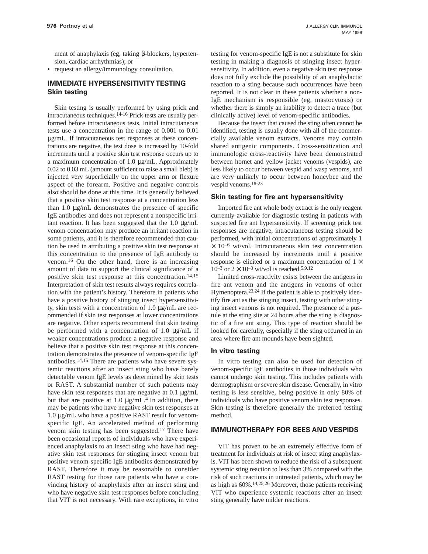ment of anaphylaxis (eg, taking β-blockers, hypertension, cardiac arrhythmias); or

• request an allergy/immunology consultation.

# **IMMEDIATE HYPERSENSITIVITY TESTING Skin testing**

Skin testing is usually performed by using prick and intracutaneous techniques.14-16 Prick tests are usually performed before intracutaneous tests. Initial intracutaneous tests use a concentration in the range of 0.001 to 0.01 µg/mL. If intracutaneous test responses at these concentrations are negative, the test dose is increased by 10-fold increments until a positive skin test response occurs up to a maximum concentration of 1.0 µg/mL. Approximately 0.02 to 0.03 mL (amount sufficient to raise a small bleb) is injected very superficially on the upper arm or flexure aspect of the forearm. Positive and negative controls also should be done at this time. It is generally believed that a positive skin test response at a concentration less than 1.0 µg/mL demonstrates the presence of specific IgE antibodies and does not represent a nonspecific irritant reaction. It has been suggested that the  $1.0 \mu g/mL$ venom concentration may produce an irritant reaction in some patients, and it is therefore recommended that caution be used in attributing a positive skin test response at this concentration to the presence of IgE antibody to venom.16 On the other hand, there is an increasing amount of data to support the clinical significance of a positive skin test response at this concentration.14,15 Interpretation of skin test results always requires correlation with the patient's history. Therefore in patients who have a positive history of stinging insect hypersensitivity, skin tests with a concentration of 1.0 µg/mL are recommended if skin test responses at lower concentrations are negative. Other experts recommend that skin testing be performed with a concentration of 1.0  $\mu$ g/mL if weaker concentrations produce a negative response and believe that a positive skin test response at this concentration demonstrates the presence of venom-specific IgE antibodies.14,15 There are patients who have severe systemic reactions after an insect sting who have barely detectable venom IgE levels as determined by skin tests or RAST. A substantial number of such patients may have skin test responses that are negative at 0.1  $\mu$ g/mL but that are positive at 1.0  $\mu$ g/mL.<sup>4</sup> In addition, there may be patients who have negative skin test responses at 1.0 µg/mL who have a positive RAST result for venomspecific IgE. An accelerated method of performing venom skin testing has been suggested.17 There have been occasional reports of individuals who have experienced anaphylaxis to an insect sting who have had negative skin test responses for stinging insect venom but positive venom-specific IgE antibodies demonstrated by RAST. Therefore it may be reasonable to consider RAST testing for those rare patients who have a convincing history of anaphylaxis after an insect sting and who have negative skin test responses before concluding that VIT is not necessary. With rare exceptions, in vitro testing for venom-specific IgE is not a substitute for skin testing in making a diagnosis of stinging insect hypersensitivity. In addition, even a negative skin test response does not fully exclude the possibility of an anaphylactic reaction to a sting because such occurrences have been reported. It is not clear in these patients whether a non-IgE mechanism is responsible (eg, mastocytosis) or whether there is simply an inability to detect a trace (but

clinically active) level of venom-specific antibodies. Because the insect that caused the sting often cannot be identified, testing is usually done with all of the commercially available venom extracts. Venoms may contain shared antigenic components. Cross-sensitization and immunologic cross-reactivity have been demonstrated between hornet and yellow jacket venoms (vespids), are less likely to occur between vespid and wasp venoms, and are very unlikely to occur between honeybee and the vespid venoms.18-23

#### **Skin testing for fire ant hypersensitivity**

Imported fire ant whole body extract is the only reagent currently available for diagnostic testing in patients with suspected fire ant hypersensitivity. If screening prick test responses are negative, intracutaneous testing should be performed, with initial concentrations of approximately 1  $\times$  10<sup>-6</sup> wt/vol. Intracutaneous skin test concentration should be increased by increments until a positive response is elicited or a maximum concentration of  $1 \times$  $10^{-3}$  or  $2 \times 10^{-3}$  wt/vol is reached.<sup>5,9,12</sup>

Limited cross-reactivity exists between the antigens in fire ant venom and the antigens in venoms of other Hymenoptera.23,24 If the patient is able to positively identify fire ant as the stinging insect, testing with other stinging insect venoms is not required. The presence of a pustule at the sting site at 24 hours after the sting is diagnostic of a fire ant sting. This type of reaction should be looked for carefully, especially if the sting occurred in an area where fire ant mounds have been sighted.

#### **In vitro testing**

In vitro testing can also be used for detection of venom-specific IgE antibodies in those individuals who cannot undergo skin testing. This includes patients with dermographism or severe skin disease. Generally, in vitro testing is less sensitive, being positive in only 80% of individuals who have positive venom skin test responses. Skin testing is therefore generally the preferred testing method.

## **IMMUNOTHERAPY FOR BEES AND VESPIDS**

VIT has proven to be an extremely effective form of treatment for individuals at risk of insect sting anaphylaxis. VIT has been shown to reduce the risk of a subsequent systemic sting reaction to less than 3% compared with the risk of such reactions in untreated patients, which may be as high as 60%.14,25,26 Moreover, those patients receiving VIT who experience systemic reactions after an insect sting generally have milder reactions.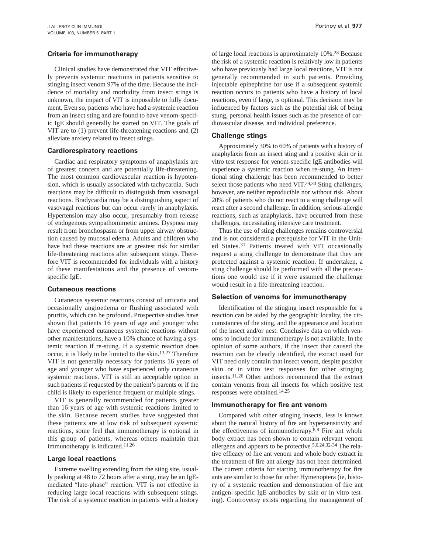# **Criteria for immunotherapy**

Clinical studies have demonstrated that VIT effectively prevents systemic reactions in patients sensitive to stinging insect venom 97% of the time. Because the incidence of mortality and morbidity from insect stings is unknown, the impact of VIT is impossible to fully document. Even so, patients who have had a systemic reaction from an insect sting and are found to have venom-specific IgE should generally be started on VIT. The goals of VIT are to (1) prevent life-threatening reactions and (2) alleviate anxiety related to insect stings.

# **Cardiorespiratory reactions**

Cardiac and respiratory symptoms of anaphylaxis are of greatest concern and are potentially life-threatening. The most common cardiovascular reaction is hypotension, which is usually associated with tachycardia. Such reactions may be difficult to distinguish from vasovagal reactions. Bradycardia may be a distinguishing aspect of vasovagal reactions but can occur rarely in anaphylaxis. Hypertension may also occur, presumably from release of endogenous sympathomimetic amines. Dyspnea may result from bronchospasm or from upper airway obstruction caused by mucosal edema. Adults and children who have had these reactions are at greatest risk for similar life-threatening reactions after subsequent stings. Therefore VIT is recommended for individuals with a history of these manifestations and the presence of venomspecific IgE.

#### **Cutaneous reactions**

Cutaneous systemic reactions consist of urticaria and occasionally angioedema or flushing associated with pruritis, which can be profound. Prospective studies have shown that patients 16 years of age and younger who have experienced cutaneous systemic reactions without other manifestations, have a 10% chance of having a systemic reaction if re-stung. If a systemic reaction does occur, it is likely to be limited to the skin.13,27 Therefore VIT is not generally necessary for patients 16 years of age and younger who have experienced only cutaneous systemic reactions. VIT is still an acceptable option in such patients if requested by the patient's parents or if the child is likely to experience frequent or multiple stings.

VIT is generally recommended for patients greater than 16 years of age with systemic reactions limited to the skin. Because recent studies have suggested that these patients are at low risk of subsequent systemic reactions, some feel that immunotherapy is optional in this group of patients, whereas others maintain that immunotherapy is indicated.11,26

# **Large local reactions**

Extreme swelling extending from the sting site, usually peaking at 48 to 72 hours after a sting, may be an IgEmediated "late-phase" reaction. VIT is not effective in reducing large local reactions with subsequent stings. The risk of a systemic reaction in patients with a history

of large local reactions is approximately 10%.28 Because the risk of a systemic reaction is relatively low in patients who have previously had large local reactions, VIT is not generally recommended in such patients. Providing injectable epinephrine for use if a subsequent systemic reaction occurs to patients who have a history of local reactions, even if large, is optional. This decision may be influenced by factors such as the potential risk of being stung, personal health issues such as the presence of cardiovascular disease, and individual preference.

## **Challenge stings**

Approximately 30% to 60% of patients with a history of anaphylaxis from an insect sting and a positive skin or in vitro test response for venom-specific IgE antibodies will experience a systemic reaction when re-stung. An intentional sting challenge has been recommended to better select those patients who need VIT.<sup>29,30</sup> Sting challenges, however, are neither reproducible nor without risk. About 20% of patients who do not react to a sting challenge will react after a second challenge. In addition, serious allergic reactions, such as anaphylaxis, have occurred from these challenges, necessitating intensive care treatment.

Thus the use of sting challenges remains controversial and is not considered a prerequisite for VIT in the United States.31 Patients treated with VIT occasionally request a sting challenge to demonstrate that they are protected against a systemic reaction. If undertaken, a sting challenge should be performed with all the precautions one would use if it were assumed the challenge would result in a life-threatening reaction.

#### **Selection of venoms for immunotherapy**

Identification of the stinging insect responsible for a reaction can be aided by the geographic locality, the circumstances of the sting, and the appearance and location of the insect and/or nest. Conclusive data on which venoms to include for immunotherapy is not available. In the opinion of some authors, if the insect that caused the reaction can be clearly identified, the extract used for VIT need only contain that insect venom, despite positive skin or in vitro test responses for other stinging insects.11,26 Other authors recommend that the extract contain venoms from all insects for which positive test responses were obtained.14,25

#### **Immunotherapy for fire ant venom**

Compared with other stinging insects, less is known about the natural history of fire ant hypersensitivity and the effectiveness of immunotherapy.<sup>8,9</sup> Fire ant whole body extract has been shown to contain relevant venom allergens and appears to be protective.5,6,24,32-34 The relative efficacy of fire ant venom and whole body extract in the treatment of fire ant allergy has not been determined. The current criteria for starting immunotherapy for fire ants are similar to those for other Hymenoptera (ie, history of a systemic reaction and demonstration of fire ant antigen–specific IgE antibodies by skin or in vitro testing). Controversy exists regarding the management of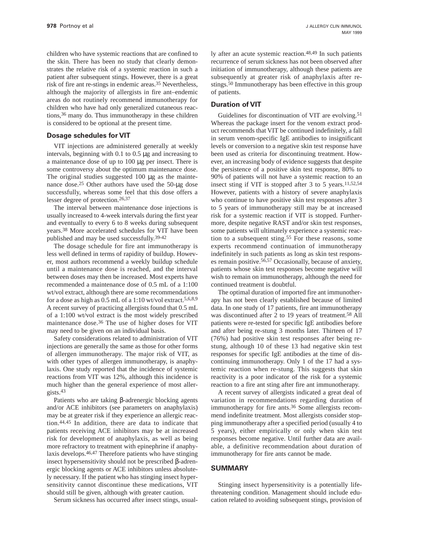children who have systemic reactions that are confined to the skin. There has been no study that clearly demonstrates the relative risk of a systemic reaction in such a patient after subsequent stings. However, there is a great risk of fire ant re-stings in endemic areas.35 Nevertheless, although the majority of allergists in fire ant–endemic areas do not routinely recommend immunotherapy for children who have had only generalized cutaneous reactions,36 many do. Thus immunotherapy in these children is considered to be optional at the present time.

## **Dosage schedules for VIT**

VIT injections are administered generally at weekly intervals, beginning with 0.1 to 0.5 µg and increasing to a maintenance dose of up to 100 µg per insect. There is some controversy about the optimum maintenance dose. The original studies suggested 100 µg as the maintenance dose.25 Other authors have used the 50-µg dose successfully, whereas some feel that this dose offers a lesser degree of protection.26,37

The interval between maintenance dose injections is usually increased to 4-week intervals during the first year and eventually to every 6 to 8 weeks during subsequent years.38 More accelerated schedules for VIT have been published and may be used successfully.39-42

The dosage schedule for fire ant immunotherapy is less well defined in terms of rapidity of buildup. However, most authors recommend a weekly buildup schedule until a maintenance dose is reached, and the interval between doses may then be increased. Most experts have recommended a maintenance dose of 0.5 mL of a 1:100 wt/vol extract, although there are some recommendations for a dose as high as 0.5 mL of a 1:10 wt/vol extract.5,6,8,9 A recent survey of practicing allergists found that 0.5 mL of a 1:100 wt/vol extract is the most widely prescribed maintenance dose.36 The use of higher doses for VIT may need to be given on an individual basis.

Safety considerations related to administration of VIT injections are generally the same as those for other forms of allergen immunotherapy. The major risk of VIT, as with other types of allergen immunotherapy, is anaphylaxis. One study reported that the incidence of systemic reactions from VIT was 12%, although this incidence is much higher than the general experience of most allergists.43

Patients who are taking β-adrenergic blocking agents and/or ACE inhibitors (see parameters on anaphylaxis) may be at greater risk if they experience an allergic reaction.44,45 In addition, there are data to indicate that patients receiving ACE inhibitors may be at increased risk for development of anaphylaxis, as well as being more refractory to treatment with epinephrine if anaphylaxis develops.46,47 Therefore patients who have stinging insect hypersensitivity should not be prescribed β-adrenergic blocking agents or ACE inhibitors unless absolutely necessary. If the patient who has stinging insect hypersensitivity cannot discontinue these medications, VIT should still be given, although with greater caution.

Serum sickness has occurred after insect stings, usual-

ly after an acute systemic reaction.48,49 In such patients recurrence of serum sickness has not been observed after initiation of immunotherapy, although these patients are subsequently at greater risk of anaphylaxis after restings.50 Immunotherapy has been effective in this group of patients.

#### **Duration of VIT**

Guidelines for discontinuation of VIT are evolving.<sup>51</sup> Whereas the package insert for the venom extract product recommends that VIT be continued indefinitely, a fall in serum venom-specific IgE antibodies to insignificant levels or conversion to a negative skin test response have been used as criteria for discontinuing treatment. However, an increasing body of evidence suggests that despite the persistence of a positive skin test response, 80% to 90% of patients will not have a systemic reaction to an insect sting if VIT is stopped after 3 to 5 years.11,52,54 However, patients with a history of severe anaphylaxis who continue to have positive skin test responses after 3 to 5 years of immunotherapy still may be at increased risk for a systemic reaction if VIT is stopped. Furthermore, despite negative RAST and/or skin test responses, some patients will ultimately experience a systemic reaction to a subsequent sting.55 For these reasons, some experts recommend continuation of immunotherapy indefinitely in such patients as long as skin test responses remain positive.56,57 Occasionally, because of anxiety, patients whose skin test responses become negative will wish to remain on immunotherapy, although the need for continued treatment is doubtful.

The optimal duration of imported fire ant immunotherapy has not been clearly established because of limited data. In one study of 17 patients, fire ant immunotherapy was discontinued after 2 to 19 years of treatment.<sup>58</sup> All patients were re-tested for specific IgE antibodies before and after being re-stung 3 months later. Thirteen of 17 (76%) had positive skin test responses after being restung, although 10 of these 13 had negative skin test responses for specific IgE antibodies at the time of discontinuing immunotherapy. Only 1 of the 17 had a systemic reaction when re-stung. This suggests that skin reactivity is a poor indicator of the risk for a systemic reaction to a fire ant sting after fire ant immunotherapy.

A recent survey of allergists indicated a great deal of variation in recommendations regarding duration of immunotherapy for fire ants.36 Some allergists recommend indefinite treatment. Most allergists consider stopping immunotherapy after a specified period (usually 4 to 5 years), either empirically or only when skin test responses become negative. Until further data are available, a definitive recommendation about duration of immunotherapy for fire ants cannot be made.

#### **SUMMARY**

Stinging insect hypersensitivity is a potentially lifethreatening condition. Management should include education related to avoiding subsequent stings, provision of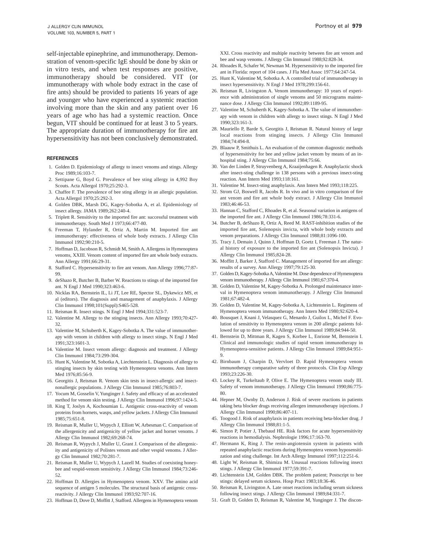self-injectable epinephrine, and immunotherapy. Demonstration of venom-specific IgE should be done by skin or in vitro tests, and when test responses are positive, immunotherapy should be considered. VIT (or immunotherapy with whole body extract in the case of fire ants) should be provided to patients 16 years of age and younger who have experienced a systemic reaction involving more than the skin and any patient over 16 years of age who has had a systemic reaction. Once begun, VIT should be continued for at least 3 to 5 years. The appropriate duration of immunotherapy for fire ant hypersensitivity has not been conclusively demonstrated.

#### **REFERENCES**

- 1. Golden D. Epidemiology of allergy to insect venoms and stings. Allergy Proc 1989;16:103-7
- 2. Settipane G, Boyd G. Prevalence of bee sting allergy in 4,992 Boy Scouts. Acta Allergol 1970;25:292-3.
- 3. Chaffee F. The prevalence of bee sting allergy in an allergic population. Acta Allergol 1970;25:292-3.
- 4. Golden DBK, Marsh DG, Kagey-Sobotka A, et al. Epidemiology of insect allergy. JAMA 1989;262:240-4.
- 5. Triplett R. Sensitivity to the imported fire ant: successful treatment with immunotherapy. South Med J 1973;66:477-80.
- 6. Freeman T, Hylander R, Ortiz A, Martin M. Imported fire ant immunotherapy: effectiveness of whole body extracts. J Allergy Clin Immunol 1992;90:210-5.
- 7. Hoffman D, Jacobson R, Schmidt M, Smith A. Allergens in Hymenoptera venoms, XXIII. Venom content of imported fire ant whole body extracts. Ann Allergy 1991;66:29-31.
- 8. Stafford C. Hypersensitivity to fire ant venom. Ann Allergy 1996;77:87- 99.
- 9. deShazo R, Butcher B, Barber W. Reactions to stings of the imported fire ant. N Engl J Med 1990;323:463-6.
- 10. Nicklas RA, Bernstein IL, Li JT, Lee RE, Spector SL, Dykewicz MS, et al (editors). The diagnosis and management of anaphylaxis. J Allergy Clin Immunol 1998;101(Suppl):S465-528.
- 11. Reisman R. Insect stings. N Engl J Med 1994;331:523-7.
- 12. Valentine M. Allergy to the stinging insects. Ann Allergy 1993;70:427- 32.
- 13. Valentine M, Schuberth K, Kagey-Sobotka A. The value of immunotherapy with venom in children with allergy to insect stings. N Engl J Med 1991;323:1601-3.
- 14. Valentine M. Insect venom allergy: diagnosis and treatment. J Allergy Clin Immunol 1984;73:299-304.
- 15. Hunt K, Valentine M, Sobotka A, Liechtenstein L. Diagnosis of allergy to stinging insects by skin testing with Hymenoptera venoms. Ann Intern Med 1976;85:56-9.
- 16. Georgitis J, Reisman R. Venom skin tests in insect-allergic and insectnonallergic populations. J Allergy Clin Immunol 1985;76:803-7.
- 17. Yocum M, Gosselin V, Yunginger J. Safety and efficacy of an accelerated method for venom skin testing. J Allergy Clin Immunol 1996;97:1424-5.
- 18. King T, Joslyn A, Kochoumian L. Antigenic cross-reactivity of venom proteins from hornets, wasps, and yellow jackets. J Allergy Clin Immunol 1985;75:651-8.
- 19. Reisman R, Muller U, Wypych J, Elliott W, Arbesman C. Comparison of the allergenicity and antigenicity of yellow jacket and hornet venoms. J Allergy Clin Immunol 1982;69:268-74.
- 20. Reisman R, Wypych J, Muller U, Grant J. Comparison of the allergenicity and antigenicity of Polistes venom and other vespid venoms. J Allergy Clin Immunol 1982;70:281-7.
- 21. Reisman R, Muller U, Wypych J, Lazell M. Studies of coexisting honeybee and vespid-venom sensitivity. J Allergy Clin Immunol 1984;73:246- 52.
- 22. Hoffman D. Allergies in Hymenoptera venom. XXV. The amino acid sequence of antigen 5 molecules. The structural basis of antigenic crossreactivity. J Allergy Clin Immunol 1993;92:707-16.
- 23. Hoffman D, Dove D, Moffitt J, Stafford. Allergens in Hymenoptera venom

XXI. Cross reactivity and multiple reactivity between fire ant venom and bee and wasp venoms. J Allergy Clin Immunol 1988;92:828-34.

- 24. Rhoades R, Schafer W, Newman M. Hypersensitivity to the imported fire ant in Florida: report of 104 cases. J Fla Med Assoc 1977;64:247-54.
- 25. Hunt K, Valentine M, Sobotka A. A controlled trial of immunotherapy in insect hypersensitivity. N Engl J Med 1978;299:156-61.
- 26. Reisman R, Livingston A. Venom immunotherapy: 10 years of experience with administration of single venoms and 50 micrograms maintenance dose. J Allergy Clin Immunol 1992;89:1189-95.
- 27. Valentine M, Schuberth K, Kagey-Sobotka A. The value of immunotherapy with venom in children with allergy to insect stings. N Engl J Med 1990;323:161-3.
- 28. Mauriello P, Barde S, Georgitis J, Reisman R. Natural history of large local reactions from stinging insects. J Allergy Clin Immunol 1984;74:494-8.
- 29. Blaauw P, Smithuis L. An evaluation of the common diagnostic methods of hypersensitivity for bee and yellow jacket venom by means of an inhospital sting. J Allergy Clin Immunol 1984;75:66.
- 30. Van der Linden P, Struyvenberg A, Kraaijenhagen R. Anaphylactic shock after insect-sting challenge in 138 persons with a previous insect-sting reaction. Ann Intern Med 1993;118:161.
- 31. Valentine M. Insect-sting anaphylaxis. Ann Intern Med 1993;118:225.
- 32. Strom GJ, Boswell R, Jacobs R. In vivo and in vitro comparison of fire ant venom and fire ant whole body extract. J Allergy Clin Immunol 1983;46:46-53.
- 33. Hannan C, Stafford C, Rhoades R, et al. Seasonal variation in antigens of the imported fire ant. J Allergy Clin Immunol 1986;78:331-6.
- 34. Butcher B, deShazo R, Ortiz A, Reed M. RAST-inhibition studies of the imported fire ant, Solenopsis invicta, with whole body extracts and venom preparations. J Allergy Clin Immunol 1988;81:1096-100.
- 35. Tracy J, Demain J, Quinn J, Hoffman D, Goetz I, Freeman J. The natural history of exposure to the imported fire ant (Solenopsis Invicta). J Allergy Clin Immunol 1985;824-28.
- 36. Moffitt J, Barker J, Stafford C. Management of imported fire ant allergy: results of a survey. Ann Allergy 1997;79:125-30.
- 37. Golden D, Kagey-Sobotka A,Valentine M. Dose dependence of Hymenoptera venom immunotherapy. J Allergy Clin Immunol 1981;67:370-4.
- 38. Golden D, Valentine M, Kagey-Sobotka A. Prolonged maintenance interval in Hymenoptera venom immunotherapy. J Allergy Clin Immunol 1981;67:482-4.
- 39. Golden D, Valentine M, Kagey-Sobotka A, Lichtenstein L. Regimens of Hymenoptera venom immunotherapy. Ann Intern Med 1980;92:620-4.
- 40. Bousquet J, Knani J, Velasquez G, Menardo J, Guilox L, Michel F. Evolution of sensitivity to Hymenoptera venom in 200 allergic patients followed for up to three years. J Allergy Clin Immunol 1989;84:944-50.
- 41. Bernstein D, Mittman R, Kagen S, Korbee L, Enrione M, Bernstein I. Clinical and immunologic studies of rapid venom immunotherapy in Hymenoptera-sensitive patients. J Allergy Clin Immunol 1989;84:951- 9.
- 42. Birnbaum J, Charpin D, Vervloet D. Rapid Hymenoptera venom immunotherapy comparative safety of three protocols. Clin Exp Allergy 1993;23:226-30.
- 43. Lockey R, Turkeltaub P, Olive E. The Hymenoptera venom study III. Safety of venom immunotherapy. J Allergy Clin Immunol 1990;86:775- 80.
- 44. Hepner M, Ownby D, Anderson J. Risk of severe reactions in patients taking beta blocker drugs receiving allergen immunotherapy injections. J Allergy Clin Immunol 1990;86:407-11.
- 45. Toogood J. Risk of anaphylaxis in patients receiving beta-blocker drug. J Allergy Clin Immunol 1988;81:1-5.
- 46. Simon P, Potier J, Thebaud HE. Risk factors for acute hypersensitivity reactions in hemodialysis. Nephrologie 1996;17:163-70.
- 47. Hermann K, Ring J. The renin-angiotensin system in patients with repeated anaphylactic reactions during Hymenoptera venom hyposensitization and sting challenge. Int Arch Allergy Immunol 1997;112:251-6.
- 48. Light W, Reisman R, Shimizu M. Unusual reactions following insect stings. J Allergy Clin Immunol 1977;59:391-7.
- 49. Lichtenstein LM, Golden DBK. The problem patient; Postscript to bee stings: delayed serum sickness. Hosp Pract 1983;18:36-46.
- 50. Reisman R, Livingston A. Late onset reactions including serum sickness following insect stings. J Allergy Clin Immunol 1989;84:331-7.
- 51. Graft D, Golden D, Reisman R, Valentine M, Yunginger J. The discon-